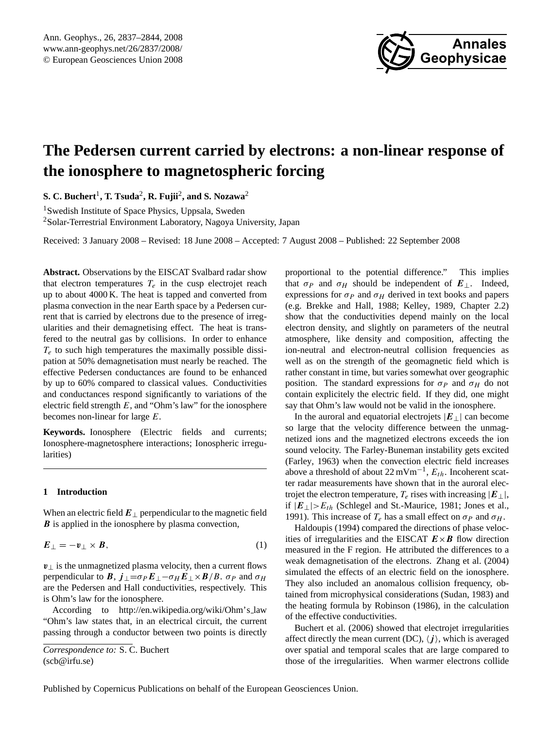

# <span id="page-0-0"></span>**The Pedersen current carried by electrons: a non-linear response of the ionosphere to magnetospheric forcing**

 ${\bf S}.$   ${\bf C}.$  Buchert<sup>1</sup>, T. Tsuda<sup>2</sup>, **R.** Fujii<sup>2</sup>, and  ${\bf S}.$  Nozawa<sup>2</sup>

<sup>1</sup>Swedish Institute of Space Physics, Uppsala, Sweden <sup>2</sup>Solar-Terrestrial Environment Laboratory, Nagoya University, Japan

Received: 3 January 2008 – Revised: 18 June 2008 – Accepted: 7 August 2008 – Published: 22 September 2008

**Abstract.** Observations by the EISCAT Svalbard radar show that electron temperatures  $T_e$  in the cusp electrojet reach up to about 4000 K. The heat is tapped and converted from plasma convection in the near Earth space by a Pedersen current that is carried by electrons due to the presence of irregularities and their demagnetising effect. The heat is transfered to the neutral gas by collisions. In order to enhance  $T_e$  to such high temperatures the maximally possible dissipation at 50% demagnetisation must nearly be reached. The effective Pedersen conductances are found to be enhanced by up to 60% compared to classical values. Conductivities and conductances respond significantly to variations of the electric field strength  $E$ , and "Ohm's law" for the ionosphere becomes non-linear for large E.

**Keywords.** Ionosphere (Electric fields and currents; Ionosphere-magnetosphere interactions; Ionospheric irregularities)

## **1 Introduction**

When an electric field  $E_{\perp}$  perpendicular to the magnetic field **B** is applied in the ionosphere by plasma convection,

$$
E_{\perp} = -v_{\perp} \times B, \tag{1}
$$

 $v_{\perp}$  is the unmagnetized plasma velocity, then a current flows perpendicular to **B**,  $j_{\perp} = \sigma_P E_{\perp} - \sigma_H E_{\perp} \times B/B$ .  $\sigma_P$  and  $\sigma_H$ are the Pedersen and Hall conductivities, respectively. This is Ohm's law for the ionosphere.

According to [http://en.wikipedia.org/wiki/Ohm's](http://en.wikipedia.org/wiki/Ohm) law "Ohm's law states that, in an electrical circuit, the current passing through a conductor between two points is directly proportional to the potential difference." This implies that  $\sigma_P$  and  $\sigma_H$  should be independent of  $E_{\perp}$ . Indeed, expressions for  $\sigma_P$  and  $\sigma_H$  derived in text books and papers (e.g. [Brekke and Hall,](#page-6-0) [1988;](#page-6-0) [Kelley,](#page-7-0) [1989,](#page-7-0) Chapter 2.2) show that the conductivities depend mainly on the local electron density, and slightly on parameters of the neutral atmosphere, like density and composition, affecting the ion-neutral and electron-neutral collision frequencies as well as on the strength of the geomagnetic field which is rather constant in time, but varies somewhat over geographic position. The standard expressions for  $\sigma_P$  and  $\sigma_H$  do not contain explicitely the electric field. If they did, one might say that Ohm's law would not be valid in the ionosphere.

In the auroral and equatorial electrojets  $|E_\perp|$  can become so large that the velocity difference between the unmagnetized ions and the magnetized electrons exceeds the ion sound velocity. The Farley-Buneman instability gets excited [\(Farley,](#page-6-1) [1963\)](#page-6-1) when the convection electric field increases above a threshold of about  $22 \text{ mV m}^{-1}$ ,  $E_{th}$ . Incoherent scatter radar measurements have shown that in the auroral electrojet the electron temperature,  $T_e$  rises with increasing  $|E_\perp|$ , if  $|E_\perp| > E_{th}$  [\(Schlegel and St.-Maurice,](#page-7-1) [1981;](#page-7-1) [Jones et al.,](#page-6-2) [1991\)](#page-6-2). This increase of  $T_e$  has a small effect on  $\sigma_p$  and  $\sigma_H$ .

[Haldoupis](#page-7-2) [\(1994\)](#page-7-2) compared the directions of phase velocities of irregularities and the EISCAT  $E \times B$  flow direction measured in the F region. He attributed the differences to a weak demagnetisation of the electrons. [Zhang et al.](#page-7-3) [\(2004\)](#page-7-3) simulated the effects of an electric field on the ionosphere. They also included an anomalous collision frequency, obtained from microphysical considerations [\(Sudan,](#page-7-4) [1983\)](#page-7-4) and the heating formula by [Robinson](#page-7-5) [\(1986\)](#page-7-5), in the calculation of the effective conductivities.

[Buchert et al.](#page-6-3) [\(2006\)](#page-6-3) showed that electrojet irregularities affect directly the mean current (DC),  $\langle i \rangle$ , which is averaged over spatial and temporal scales that are large compared to those of the irregularities. When warmer electrons collide

Published by Copernicus Publications on behalf of the European Geosciences Union.

*Correspondence to:* S. C. Buchert (scb@irfu.se)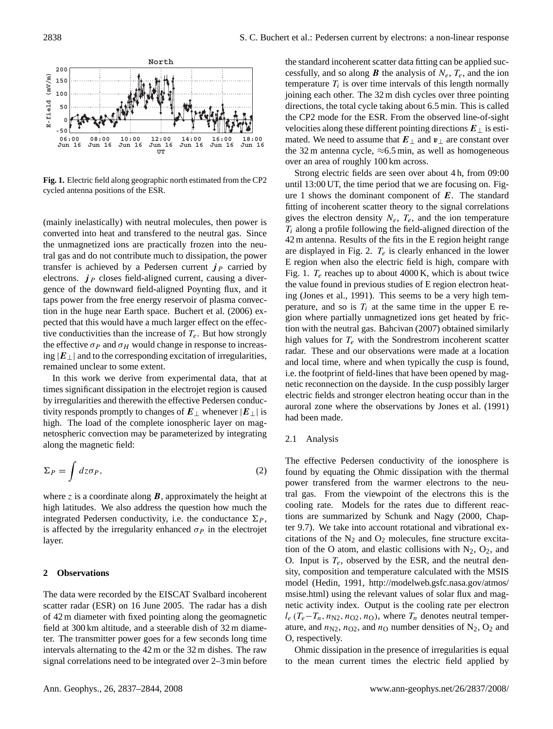

**Fig. 1.** Electric field along geographic north estimated from the CP2 cycled antenna positions of the ESR.

(mainly inelastically) with neutral molecules, then power is converted into heat and transfered to the neutral gas. Since the unmagnetized ions are practically frozen into the neutral gas and do not contribute much to dissipation, the power transfer is achieved by a Pedersen current  $j<sub>P</sub>$  carried by electrons.  $j_P$  closes field-aligned current, causing a divergence of the downward field-aligned Poynting flux, and it taps power from the free energy reservoir of plasma convection in the huge near Earth space. [Buchert et al.](#page-6-3) [\(2006\)](#page-6-3) expected that this would have a much larger effect on the effective conductivities than the increase of  $T_e$ . But how strongly the effective  $\sigma_P$  and  $\sigma_H$  would change in response to increasing  $|E_\perp|$  and to the corresponding excitation of irregularities, remained unclear to some extent.

In this work we derive from experimental data, that at times significant dissipation in the electrojet region is caused by irregularities and therewith the effective Pedersen conductivity responds promptly to changes of  $E_{\perp}$  whenever  $|E_{\perp}|$  is high. The load of the complete ionospheric layer on magnetospheric convection may be parameterized by integrating along the magnetic field:

$$
\Sigma_P = \int dz \sigma_P,\tag{2}
$$

where z is a coordinate along  $\bm{B}$ , approximately the height at high latitudes. We also address the question how much the integrated Pedersen conductivity, i.e. the conductance  $\Sigma_P$ , is affected by the irregularity enhanced  $\sigma_P$  in the electrojet layer.

## **2 Observations**

The data were recorded by the EISCAT Svalbard incoherent scatter radar (ESR) on 16 June 2005. The radar has a dish of 42 m diameter with fixed pointing along the geomagnetic field at 300 km altitude, and a steerable dish of 32 m diameter. The transmitter power goes for a few seconds long time intervals alternating to the 42 m or the 32 m dishes. The raw signal correlations need to be integrated over 2–3 min before the standard incoherent scatter data fitting can be applied successfully, and so along **B** the analysis of  $N_e$ ,  $T_e$ , and the ion temperature  $T_i$  is over time intervals of this length normally joining each other. The 32 m dish cycles over three pointing directions, the total cycle taking about 6.5 min. This is called the CP2 mode for the ESR. From the observed line-of-sight velocities along these different pointing directions  $E_{\perp}$  is estimated. We need to assume that  $E_{\perp}$  and  $v_{\perp}$  are constant over the 32 m antenna cycle,  $\approx 6.5$  min, as well as homogeneous over an area of roughly 100 km across.

Strong electric fields are seen over about 4 h, from 09:00 until 13:00 UT, the time period that we are focusing on. Figure 1 shows the dominant component of  $E$ . The standard fitting of incoherent scatter theory to the signal correlations gives the electron density  $N_e$ ,  $T_e$ , and the ion temperature  $T_i$  along a profile following the field-aligned direction of the 42 m antenna. Results of the fits in the E region height range are displayed in Fig. 2.  $T_e$  is clearly enhanced in the lower E region when also the electric field is high, compare with Fig. 1.  $T_e$  reaches up to about 4000 K, which is about twice the value found in previous studies of E region electron heating [\(Jones et al.,](#page-6-2) [1991\)](#page-6-2). This seems to be a very high temperature, and so is  $T_i$  at the same time in the upper E region where partially unmagnetized ions get heated by friction with the neutral gas. [Bahcivan](#page-6-4) [\(2007\)](#page-6-4) obtained similarly high values for  $T_e$  with the Sondrestrom incoherent scatter radar. These and our observations were made at a location and local time, where and when typically the cusp is found, i.e. the footprint of field-lines that have been opened by magnetic reconnection on the dayside. In the cusp possibly larger electric fields and stronger electron heating occur than in the auroral zone where the observations by [Jones et al.](#page-6-2) [\(1991\)](#page-6-2) had been made.

#### 2.1 Analysis

The effective Pedersen conductivity of the ionosphere is found by equating the Ohmic dissipation with the thermal power transfered from the warmer electrons to the neutral gas. From the viewpoint of the electrons this is the cooling rate. Models for the rates due to different reactions are summarized by [Schunk and Nagy](#page-7-6) [\(2000,](#page-7-6) Chapter 9.7). We take into account rotational and vibrational excitations of the  $N_2$  and  $O_2$  molecules, fine structure excitation of the O atom, and elastic collisions with  $N_2$ ,  $O_2$ , and O. Input is  $T_e$ , observed by the ESR, and the neutral density, composition and temperature calculated with the MSIS model [\(Hedin,](#page-7-7) [1991,](#page-7-7) [http://modelweb.gsfc.nasa.gov/atmos/](http://modelweb.gsfc.nasa.gov/atmos/msise.html) [msise.html\)](http://modelweb.gsfc.nasa.gov/atmos/msise.html) using the relevant values of solar flux and magnetic activity index. Output is the cooling rate per electron  $l_e$  (T<sub>e</sub>−T<sub>n</sub>, n<sub>N2</sub>, n<sub>O2</sub>, n<sub>O</sub>), where T<sub>n</sub> denotes neutral temperature, and  $n_{N2}$ ,  $n_{O2}$ , and  $n_{O}$  number densities of  $N_2$ ,  $O_2$  and O, respectively.

Ohmic dissipation in the presence of irregularities is equal to the mean current times the electric field applied by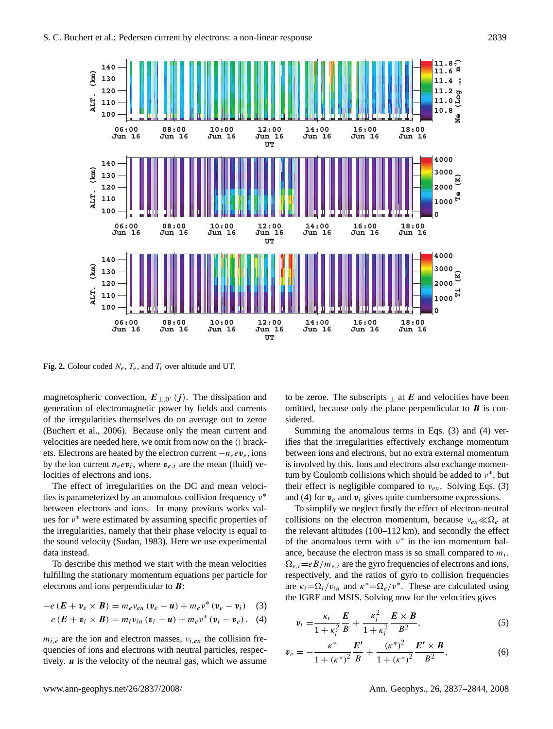

**Fig. 2.** Colour coded  $N_e$ ,  $T_e$ , and  $T_i$  over altitude and UT.

magnetospheric convection,  $E_{\perp,0}$ .  $\langle j \rangle$ . The dissipation and generation of electromagnetic power by fields and currents of the irregularities themselves do on average out to zeroe [\(Buchert et al.,](#page-6-3) [2006\)](#page-6-3). Because only the mean current and velocities are needed here, we omit from now on the  $\langle \rangle$  brackets. Electrons are heated by the electron current  $-n_eev_e$ , ions by the ion current  $n_e e v_i$ , where  $v_{e,i}$  are the mean (fluid) velocities of electrons and ions.

The effect of irregularities on the DC and mean velocities is parameterized by an anomalous collision frequency  $ν^*$ between electrons and ions. In many previous works values for ν <sup>∗</sup> were estimated by assuming specific properties of the irregularities, namely that their phase velocity is equal to the sound velocity [\(Sudan,](#page-7-4) [1983\)](#page-7-4). Here we use experimental data instead.

To describe this method we start with the mean velocities fulfilling the stationary momentum equations per particle for electrons and ions perpendicular to B:

$$
-e(E + v_e \times B) = m_e v_{en} (v_e - u) + m_e v^* (v_e - v_i)
$$
 (3)

$$
e(E + v_i \times B) = m_i v_{in} (v_i - u) + m_e v^* (v_i - v_e).
$$
 (4)

 $m_{i,e}$  are the ion and electron masses,  $v_{i,en}$  the collision frequencies of ions and electrons with neutral particles, respectively.  $\boldsymbol{u}$  is the velocity of the neutral gas, which we assume to be zeroe. The subscripts  $\perp$  at E and velocities have been omitted, because only the plane perpendicular to  $\boldsymbol{B}$  is considered.

Summing the anomalous terms in Eqs. [\(3\)](#page-2-0) and [\(4\)](#page-2-1) verifies that the irregularities effectively exchange momentum between ions and electrons, but no extra external momentum is involved by this. Ions and electrons also exchange momentum by Coulomb collisions which should be added to  $v^*$ , but their effect is negligible compared to  $v_{en}$ . Solving Eqs. [\(3\)](#page-2-0) and [\(4\)](#page-2-1) for  $v_e$  and  $v_i$  gives quite cumbersome expressions.

To simplify we neglect firstly the effect of electron-neutral collisions on the electron momentum, because  $v_{en} \ll \Omega_e$  at the relevant altitudes (100–112 km), and secondly the effect of the anomalous term with  $v^*$  in the ion momentum balance, because the electron mass is so small compared to  $m_i$ .  $\Omega_{e,i}=eB/m_{e,i}$  are the gyro frequencies of electrons and ions, respectively, and the ratios of gyro to collision frequencies are  $\kappa_i = \Omega_i/v_{in}$  and  $\kappa^* = \Omega_e/v^*$ . These are calculated using the IGRF and MSIS. Solving now for the velocities gives

<span id="page-2-2"></span><span id="page-2-1"></span><span id="page-2-0"></span>
$$
v_i = \frac{\kappa_i}{1 + \kappa_i^2} \frac{E}{B} + \frac{\kappa_i^2}{1 + \kappa_i^2} \frac{E \times B}{B^2},
$$
 (5)

$$
\mathbf{v}_e = -\frac{\kappa^*}{1 + (\kappa^*)^2} \frac{\boldsymbol{E}'}{\boldsymbol{B}} + \frac{(\kappa^*)^2}{1 + (\kappa^*)^2} \frac{\boldsymbol{E}' \times \boldsymbol{B}}{\boldsymbol{B}^2},\tag{6}
$$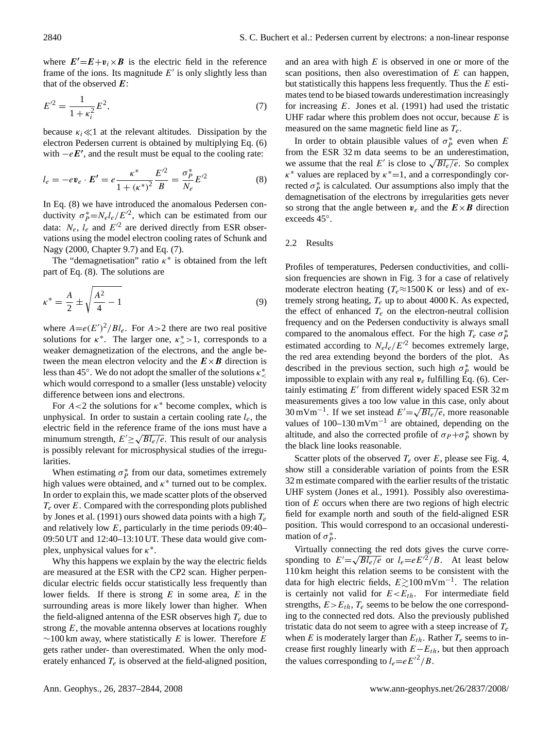where  $E'=E+v_i\times B$  is the electric field in the reference frame of the ions. Its magnitude  $E'$  is only slightly less than that of the observed  $E$ :

<span id="page-3-1"></span>
$$
E^{\prime 2} = \frac{1}{1 + \kappa_i^2} E^2,\tag{7}
$$

because  $\kappa_i \ll 1$  at the relevant altitudes. Dissipation by the electron Pedersen current is obtained by multiplying Eq. [\(6\)](#page-2-2) with  $-eE'$ , and the result must be equal to the cooling rate:

$$
l_e = -e\mathbf{v}_e \cdot \mathbf{E'} = e\frac{\kappa^*}{1 + (\kappa^*)^2} \frac{E'^2}{B} = \frac{\sigma_P^*}{N_e} E'^2
$$
 (8)

In Eq. [\(8\)](#page-3-0) we have introduced the anomalous Pedersen conductivity  $\sigma_p^* = N_e l_e / E'^2$ , which can be estimated from our data:  $N_e$ ,  $l_e$  and  $E'^2$  are derived directly from ESR observations using the model electron cooling rates of [Schunk and](#page-7-6) [Nagy](#page-7-6) [\(2000,](#page-7-6) Chapter 9.7) and Eq. [\(7\)](#page-3-1).

The "demagnetisation" ratio  $\kappa^*$  is obtained from the left part of Eq. [\(8\)](#page-3-0). The solutions are

$$
\kappa^* = \frac{A}{2} \pm \sqrt{\frac{A^2}{4} - 1}
$$
\n(9)

where  $A = e(E')^2 / Bl_e$ . For  $A > 2$  there are two real positive solutions for  $\kappa^*$ . The larger one,  $\kappa^* > 1$ , corresponds to a weaker demagnetization of the electrons, and the angle between the mean electron velocity and the  $E \times B$  direction is less than 45°. We do not adopt the smaller of the solutions  $\kappa^*_{\leq}$ which would correspond to a smaller (less unstable) velocity difference between ions and electrons.

For  $A < 2$  the solutions for  $\kappa^*$  become complex, which is unphysical. In order to sustain a certain cooling rate  $l_e$ , the electric field in the reference frame of the ions must have a minumum strength,  $E' \ge \sqrt{B l_e/e}$ . This result of our analysis is possibly relevant for microsphysical studies of the irregularities.

When estimating  $\sigma_P^*$  from our data, sometimes extremely high values were obtained, and  $\kappa^*$  turned out to be complex. In order to explain this, we made scatter plots of the observed  $T_e$  over E. Compared with the corresponding plots published by [Jones et al.](#page-6-2) [\(1991\)](#page-6-2) ours showed data points with a high  $T_e$ and relatively low  $E$ , particularly in the time periods 09:40– 09:50 UT and 12:40–13:10 UT. These data would give complex, unphysical values for  $\kappa^*$ .

Why this happens we explain by the way the electric fields are measured at the ESR with the CP2 scan. Higher perpendicular electric fields occur statistically less frequently than lower fields. If there is strong  $E$  in some area,  $E$  in the surrounding areas is more likely lower than higher. When the field-aligned antenna of the ESR observes high  $T_e$  due to strong  $E$ , the movable antenna observes at locations roughly  $∼100$  km away, where statistically E is lower. Therefore E gets rather under- than overestimated. When the only moderately enhanced  $T_e$  is observed at the field-aligned position, and an area with high  $E$  is observed in one or more of the scan positions, then also overestimation of  $E$  can happen, but statistically this happens less frequently. Thus the  $E$  estimates tend to be biased towards underestimation increasingly for increasing  $E$ . [Jones et al.](#page-6-2) [\(1991\)](#page-6-2) had used the tristatic UHF radar where this problem does not occur, because  $E$  is measured on the same magnetic field line as  $T_e$ .

<span id="page-3-0"></span>In order to obtain plausible values of  $\sigma_p^*$  even when E from the ESR 32 m data seems to be an underestimation, from the ESK 32 in data seems to be an underestimation,<br>we assume that the real E' is close to  $\sqrt{Bl_e/e}$ . So complex  $\kappa^*$  values are replaced by  $\kappa^*$  = 1, and a correspondingly corrected  $\sigma_p^*$  is calculated. Our assumptions also imply that the demagnetisation of the electrons by irregularities gets never so strong that the angle between  $v_e$  and the  $E \times B$  direction exceeds 45◦ .

## 2.2 Results

Profiles of temperatures, Pedersen conductivities, and collision frequencies are shown in Fig. 3 for a case of relatively moderate electron heating ( $T_e \approx 1500 \text{ K}$  or less) and of extremely strong heating,  $T_e$  up to about 4000 K. As expected, the effect of enhanced  $T_e$  on the electron-neutral collision frequency and on the Pedersen conductivity is always small compared to the anomalous effect. For the high  $T_e$  case  $\sigma_p^*$ estimated according to  $N_e l_e / E^2$  becomes extremely large, the red area extending beyond the borders of the plot. As described in the previous section, such high  $\sigma_p^*$  would be impossible to explain with any real  $v_e$  fulfilling Eq. [\(6\)](#page-2-2). Certainly estimating  $E'$  from different widely spaced ESR 32 m measurements gives a too low value in this case, only about 30 mVm<sup>-1</sup>. If we set instead  $E' = \sqrt{B l_e / e}$ , more reasonable values of  $100-130 \text{ mVm}^{-1}$  are obtained, depending on the altitude, and also the corrected profile of  $\sigma_P + \sigma_P^*$  shown by the black line looks reasonable.

Scatter plots of the observed  $T_e$  over E, please see Fig. 4, show still a considerable variation of points from the ESR 32 m estimate compared with the earlier results of the tristatic UHF system [\(Jones et al.,](#page-6-2) [1991\)](#page-6-2). Possibly also overestimation of  $E$  occurs when there are two regions of high electric field for example north and south of the field-aligned ESR position. This would correspond to an occasional underestimation of  $\sigma_P^*$ .

Virtually connecting the red dots gives the curve corresponding to  $E' = \sqrt{B l_e / e}$  or  $l_e = e E^{i/2} / B$ . At least below 110 km height this relation seems to be consistent with the data for high electric fields,  $E \gtrsim 100 \text{ mV m}^{-1}$ . The relation is certainly not valid for  $E \lt E_{th}$ . For intermediate field strengths,  $E > E<sub>th</sub>$ ,  $T<sub>e</sub>$  seems to be below the one corresponding to the connected red dots. Also the previously published tristatic data do not seem to agree with a steep increase of  $T_e$ when E is moderately larger than  $E_{th}$ . Rather  $T_e$  seems to increase first roughly linearly with  $E-E<sub>th</sub>$ , but then approach the values corresponding to  $l_e=eE'^2/B$ .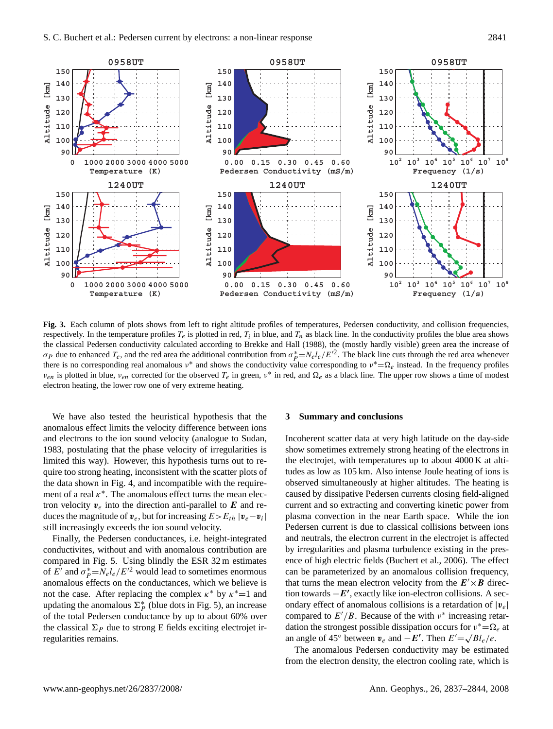

**Fig. 3.** Each column of plots shows from left to right altitude profiles of temperatures, Pedersen conductivity, and collision frequencies, respectively. In the temperature profiles  $T_e$  is plotted in red,  $T_i$  in blue, and  $T_n$  as black line. In the conductivity profiles the blue area shows the classical Pedersen conductivity calculated according to [Brekke and Hall](#page-6-0) [\(1988\)](#page-6-0), the (mostly hardly visible) green area the increase of σ<sub>P</sub> due to enhanced  $T_e$ , and the red area the additional contribution from  $\sigma_p^* = N_e l_e / E'^2$ . The black line cuts through the red area whenever there is no corresponding real anomalous  $v^*$  and shows the conductivity value corresponding to  $v^* = \Omega_e$  instead. In the frequency profiles  $v_{en}$  is plotted in blue,  $v_{en}$  corrected for the observed  $T_e$  in green,  $v^*$  in red, and  $\Omega_e$  as a black line. The upper row shows a time of modest electron heating, the lower row one of very extreme heating.

We have also tested the heuristical hypothesis that the anomalous effect limits the velocity difference between ions and electrons to the ion sound velocity (analogue to [Sudan,](#page-7-4) [1983,](#page-7-4) postulating that the phase velocity of irregularities is limited this way). However, this hypothesis turns out to require too strong heating, inconsistent with the scatter plots of the data shown in Fig. 4, and incompatible with the requirement of a real  $\kappa^*$ . The anomalous effect turns the mean electron velocity  $v_e$  into the direction anti-parallel to E and reduces the magnitude of  $v_e$ , but for increasing  $E > E_{th} |v_e - v_i|$ still increasingly exceeds the ion sound velocity.

Finally, the Pedersen conductances, i.e. height-integrated conductivites, without and with anomalous contribution are compared in Fig. 5. Using blindly the ESR 32 m estimates of  $E'$  and  $\sigma_p^* = N_e l_e / E'^2$  would lead to sometimes enormous anomalous effects on the conductances, which we believe is not the case. After replacing the complex  $\kappa^*$  by  $\kappa^*=1$  and updating the anomalous  $\Sigma_p^*$  (blue dots in Fig. 5), an increase of the total Pedersen conductance by up to about 60% over the classical  $\Sigma_p$  due to strong E fields exciting electrojet irregularities remains.

#### **3 Summary and conclusions**

Incoherent scatter data at very high latitude on the day-side show sometimes extremely strong heating of the electrons in the electrojet, with temperatures up to about 4000 K at altitudes as low as 105 km. Also intense Joule heating of ions is observed simultaneously at higher altitudes. The heating is caused by dissipative Pedersen currents closing field-aligned current and so extracting and converting kinetic power from plasma convection in the near Earth space. While the ion Pedersen current is due to classical collisions between ions and neutrals, the electron current in the electrojet is affected by irregularities and plasma turbulence existing in the presence of high electric fields [\(Buchert et al.,](#page-6-3) [2006\)](#page-6-3). The effect can be parameterized by an anomalous collision frequency, that turns the mean electron velocity from the  $E' \times B$  direction towards  $-E'$ , exactly like ion-electron collisions. A secondary effect of anomalous collisions is a retardation of  $|v_e|$ compared to  $E'/B$ . Because of the with  $v^*$  increasing retardation the strongest possible dissipation occurs for  $v^* = \Omega_e$  at an angle of 45° between  $v_e$  and  $-E'$ . Then  $E' = \sqrt{B l_e/e}$ .

The anomalous Pedersen conductivity may be estimated from the electron density, the electron cooling rate, which is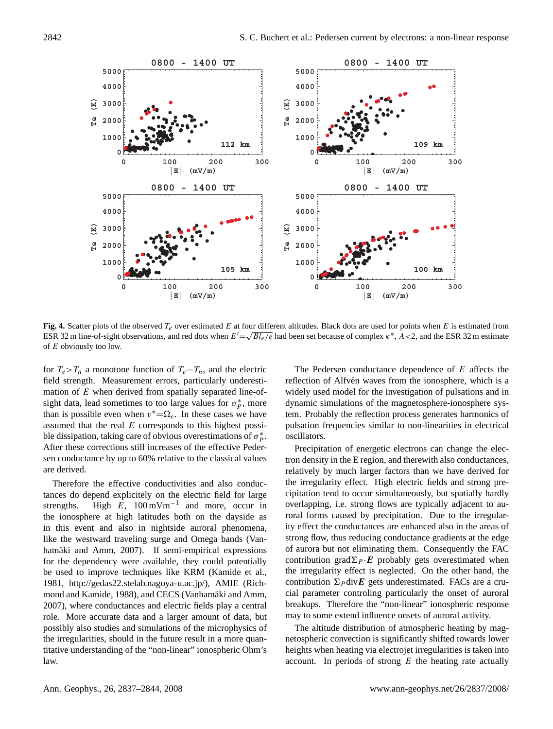

**Fig. 4.** Scatter plots of the observed  $T_e$  over estimated E at four different altitudes. Black dots are used for points when E is estimated from ESR 32 m line-of-sight observations, and red dots when  $E' = \sqrt{B l_e/e}$  had been set because of complex  $\kappa^*$ , A < 2, and the ESR 32 m estimate of E obviously too low.

for  $T_e > T_n$  a monotone function of  $T_e - T_n$ , and the electric field strength. Measurement errors, particularly underestimation of  $E$  when derived from spatially separated line-ofsight data, lead sometimes to too large values for  $\sigma_p^*$ , more than is possible even when  $v^* = \Omega_e$ . In these cases we have assumed that the real  $E$  corresponds to this highest possible dissipation, taking care of obvious overestimations of  $\sigma_p^*$ . After these corrections still increases of the effective Pedersen conductance by up to 60% relative to the classical values are derived.

Therefore the effective conductivities and also conductances do depend explicitely on the electric field for large strengths. High  $\vec{E}$ , 100 mVm<sup>-1</sup> and more, occur in the ionosphere at high latitudes both on the dayside as in this event and also in nightside auroral phenomena, like the westward traveling surge and Omega bands [\(Van-](#page-7-8)hamäki and Amm, [2007\)](#page-7-8). If semi-empirical expressions for the dependency were available, they could potentially be used to improve techniques like KRM [\(Kamide et al.,](#page-7-9) [1981,](#page-7-9) [http://gedas22.stelab.nagoya-u.ac.jp/\)](http://gedas22.stelab.nagoya-u.ac.jp/), AMIE [\(Rich](#page-7-10)[mond and Kamide,](#page-7-10) [1988\)](#page-7-10), and CECS (Vanhamäki and Amm, [2007\)](#page-7-8), where conductances and electric fields play a central role. More accurate data and a larger amount of data, but possibly also studies and simulations of the microphysics of the irregularities, should in the future result in a more quantitative understanding of the "non-linear" ionospheric Ohm's law.

The Pedersen conductance dependence of E affects the reflection of Alfvén waves from the ionosphere, which is a widely used model for the investigation of pulsations and in dynamic simulations of the magnetosphere-ionosphere system. Probably the reflection process generates harmonics of pulsation frequencies similar to non-linearities in electrical oscillators.

Precipitation of energetic electrons can change the electron density in the E region, and therewith also conductances, relatively by much larger factors than we have derived for the irregularity effect. High electric fields and strong precipitation tend to occur simultaneously, but spatially hardly overlapping, i.e. strong flows are typically adjacent to auroral forms caused by precipitation. Due to the irregularity effect the conductances are enhanced also in the areas of strong flow, thus reducing conductance gradients at the edge of aurora but not eliminating them. Consequently the FAC contribution grad $\Sigma_P \cdot E$  probably gets overestimated when the irregularity effect is neglected. On the other hand, the contribution  $\Sigma_P \text{div}E$  gets underestimated. FACs are a crucial parameter controling particularly the onset of auroral breakups. Therefore the "non-linear" ionospheric response may to some extend influence onsets of auroral activity.

The altitude distribution of atmospheric heating by magnetospheric convection is significantly shifted towards lower heights when heating via electrojet irregularities is taken into account. In periods of strong  $E$  the heating rate actually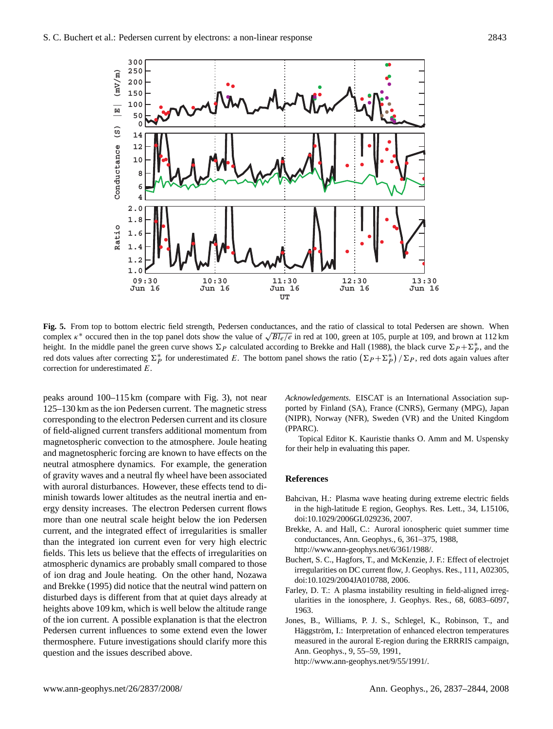

**Fig. 5.** From top to bottom electric field strength, Pedersen conductances, and the ratio of classical to total Pedersen are shown. When **rig.** 5. From top to bottom electric field strength, Pedersen conductances, and the ratio of classical to total Pedersen are shown. When complex  $\kappa^*$  occured then in the top panel dots show the value of  $\sqrt{Bl_e/e}$  in height. In the middle panel the green curve shows  $\Sigma_P$  calculated according to [Brekke and Hall](#page-6-0) [\(1988\)](#page-6-0), the black curve  $\Sigma_P + \Sigma_P^*$ , and the red dots values after correcting  $\Sigma_P^*$  for underestimated E. The bottom panel shows the ratio  $(\Sigma_P + \Sigma_P^*)/\Sigma_P$ , red dots again values after correction for underestimated E.

peaks around 100–115 km (compare with Fig. 3), not near 125–130 km as the ion Pedersen current. The magnetic stress corresponding to the electron Pedersen current and its closure of field-aligned current transfers additional momentum from magnetospheric convection to the atmosphere. Joule heating and magnetospheric forcing are known to have effects on the neutral atmosphere dynamics. For example, the generation of gravity waves and a neutral fly wheel have been associated with auroral disturbances. However, these effects tend to diminish towards lower altitudes as the neutral inertia and energy density increases. The electron Pedersen current flows more than one neutral scale height below the ion Pedersen current, and the integrated effect of irregularities is smaller than the integrated ion current even for very high electric fields. This lets us believe that the effects of irregularities on atmospheric dynamics are probably small compared to those of ion drag and Joule heating. On the other hand, [Nozawa](#page-7-11) [and Brekke](#page-7-11) [\(1995\)](#page-7-11) did notice that the neutral wind pattern on disturbed days is different from that at quiet days already at heights above 109 km, which is well below the altitude range of the ion current. A possible explanation is that the electron Pedersen current influences to some extend even the lower thermosphere. Future investigations should clarify more this question and the issues described above.

*Acknowledgements.* EISCAT is an International Association supported by Finland (SA), France (CNRS), Germany (MPG), Japan (NIPR), Norway (NFR), Sweden (VR) and the United Kingdom (PPARC).

Topical Editor K. Kauristie thanks O. Amm and M. Uspensky for their help in evaluating this paper.

### **References**

- <span id="page-6-4"></span>Bahcivan, H.: Plasma wave heating during extreme electric fields in the high-latitude E region, Geophys. Res. Lett., 34, L15106, doi:10.1029/2006GL029236, 2007.
- <span id="page-6-0"></span>Brekke, A. and Hall, C.: Auroral ionospheric quiet summer time conductances, Ann. Geophys., 6, 361–375, 1988, [http://www.ann-geophys.net/6/361/1988/.](http://www.ann-geophys.net/6/361/1988/)
- <span id="page-6-3"></span>Buchert, S. C., Hagfors, T., and McKenzie, J. F.: Effect of electrojet irregularities on DC current flow, J. Geophys. Res., 111, A02305, doi:10.1029/2004JA010788, 2006.
- <span id="page-6-1"></span>Farley, D. T.: A plasma instability resulting in field-aligned irregularities in the ionosphere, J. Geophys. Res., 68, 6083–6097, 1963.
- <span id="page-6-2"></span>Jones, B., Williams, P. J. S., Schlegel, K., Robinson, T., and Häggström, I.: Interpretation of enhanced electron temperatures measured in the auroral E-region during the ERRRIS campaign, Ann. Geophys., 9, 55–59, 1991,

[http://www.ann-geophys.net/9/55/1991/.](http://www.ann-geophys.net/9/55/1991/)